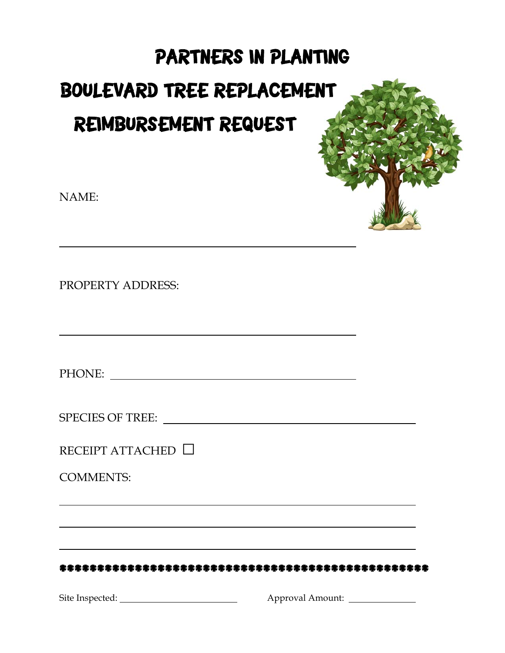# PARTNERS IN PLANTING **BOULEVARD TREE REPLACEMENT** REIMBURSEMENT REQUEST

NAME:

PROPERTY ADDRESS:

RECEIPT ATTACHED □

**COMMENTS:**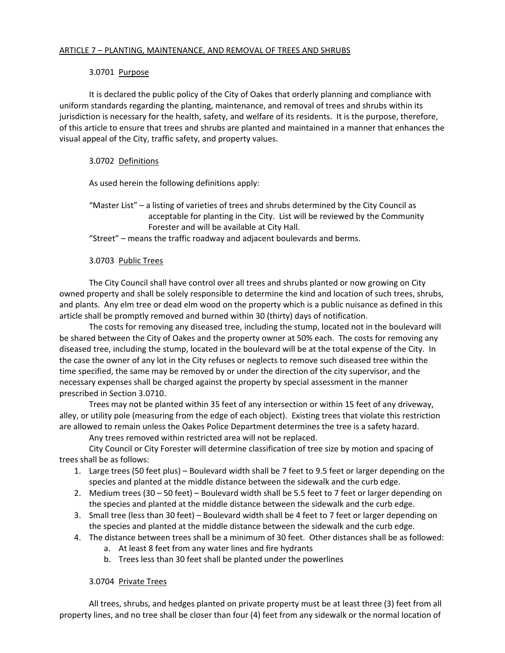## 3.0701 Purpose

It is declared the public policy of the City of Oakes that orderly planning and compliance with uniform standards regarding the planting, maintenance, and removal of trees and shrubs within its jurisdiction is necessary for the health, safety, and welfare of its residents. It is the purpose, therefore, of this article to ensure that trees and shrubs are planted and maintained in a manner that enhances the visual appeal of the City, traffic safety, and property values.

## 3.0702 Definitions

As used herein the following definitions apply:

"Master List" – a listing of varieties of trees and shrubs determined by the City Council as acceptable for planting in the City. List will be reviewed by the Community Forester and will be available at City Hall.

"Street" – means the traffic roadway and adjacent boulevards and berms.

## 3.0703 Public Trees

 The City Council shall have control over all trees and shrubs planted or now growing on City owned property and shall be solely responsible to determine the kind and location of such trees, shrubs, and plants. Any elm tree or dead elm wood on the property which is a public nuisance as defined in this article shall be promptly removed and burned within 30 (thirty) days of notification.

The costs for removing any diseased tree, including the stump, located not in the boulevard will be shared between the City of Oakes and the property owner at 50% each. The costs for removing any diseased tree, including the stump, located in the boulevard will be at the total expense of the City. In the case the owner of any lot in the City refuses or neglects to remove such diseased tree within the time specified, the same may be removed by or under the direction of the city supervisor, and the necessary expenses shall be charged against the property by special assessment in the manner prescribed in Section 3.0710.

 Trees may not be planted within 35 feet of any intersection or within 15 feet of any driveway, alley, or utility pole (measuring from the edge of each object). Existing trees that violate this restriction are allowed to remain unless the Oakes Police Department determines the tree is a safety hazard.

Any trees removed within restricted area will not be replaced.

City Council or City Forester will determine classification of tree size by motion and spacing of trees shall be as follows:

- 1. Large trees (50 feet plus) Boulevard width shall be 7 feet to 9.5 feet or larger depending on the species and planted at the middle distance between the sidewalk and the curb edge.
- 2. Medium trees (30 50 feet) Boulevard width shall be 5.5 feet to 7 feet or larger depending on the species and planted at the middle distance between the sidewalk and the curb edge.
- 3. Small tree (less than 30 feet) Boulevard width shall be 4 feet to 7 feet or larger depending on the species and planted at the middle distance between the sidewalk and the curb edge.
- 4. The distance between trees shall be a minimum of 30 feet. Other distances shall be as followed:
	- a. At least 8 feet from any water lines and fire hydrants
	- b. Trees less than 30 feet shall be planted under the powerlines

## 3.0704 Private Trees

 All trees, shrubs, and hedges planted on private property must be at least three (3) feet from all property lines, and no tree shall be closer than four (4) feet from any sidewalk or the normal location of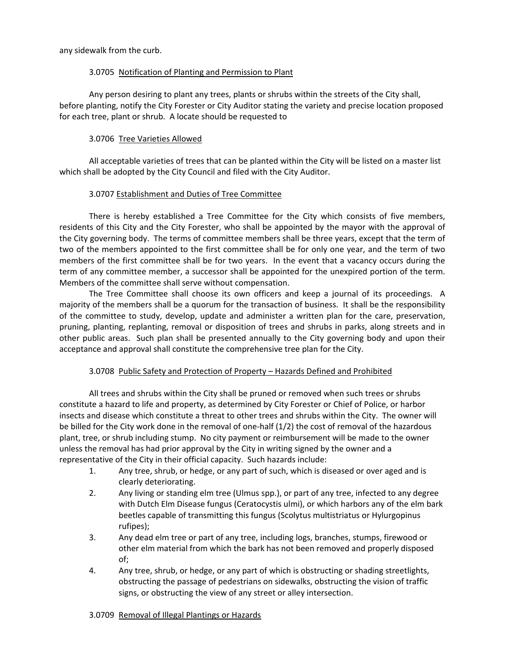any sidewalk from the curb.

### 3.0705 Notification of Planting and Permission to Plant

Any person desiring to plant any trees, plants or shrubs within the streets of the City shall, before planting, notify the City Forester or City Auditor stating the variety and precise location proposed for each tree, plant or shrub. A locate should be requested to

### 3.0706 Tree Varieties Allowed

All acceptable varieties of trees that can be planted within the City will be listed on a master list which shall be adopted by the City Council and filed with the City Auditor.

#### 3.0707 Establishment and Duties of Tree Committee

There is hereby established a Tree Committee for the City which consists of five members, residents of this City and the City Forester, who shall be appointed by the mayor with the approval of the City governing body. The terms of committee members shall be three years, except that the term of two of the members appointed to the first committee shall be for only one year, and the term of two members of the first committee shall be for two years. In the event that a vacancy occurs during the term of any committee member, a successor shall be appointed for the unexpired portion of the term. Members of the committee shall serve without compensation.

The Tree Committee shall choose its own officers and keep a journal of its proceedings. A majority of the members shall be a quorum for the transaction of business. It shall be the responsibility of the committee to study, develop, update and administer a written plan for the care, preservation, pruning, planting, replanting, removal or disposition of trees and shrubs in parks, along streets and in other public areas. Such plan shall be presented annually to the City governing body and upon their acceptance and approval shall constitute the comprehensive tree plan for the City.

### 3.0708 Public Safety and Protection of Property – Hazards Defined and Prohibited

All trees and shrubs within the City shall be pruned or removed when such trees or shrubs constitute a hazard to life and property, as determined by City Forester or Chief of Police, or harbor insects and disease which constitute a threat to other trees and shrubs within the City. The owner will be billed for the City work done in the removal of one-half (1/2) the cost of removal of the hazardous plant, tree, or shrub including stump. No city payment or reimbursement will be made to the owner unless the removal has had prior approval by the City in writing signed by the owner and a representative of the City in their official capacity. Such hazards include:

- 1. Any tree, shrub, or hedge, or any part of such, which is diseased or over aged and is clearly deteriorating.
- 2. Any living or standing elm tree (Ulmus spp.), or part of any tree, infected to any degree with Dutch Elm Disease fungus (Ceratocystis ulmi), or which harbors any of the elm bark beetles capable of transmitting this fungus (Scolytus multistriatus or Hylurgopinus rufipes);
- 3. Any dead elm tree or part of any tree, including logs, branches, stumps, firewood or other elm material from which the bark has not been removed and properly disposed of;
- 4. Any tree, shrub, or hedge, or any part of which is obstructing or shading streetlights, obstructing the passage of pedestrians on sidewalks, obstructing the vision of traffic signs, or obstructing the view of any street or alley intersection.

#### 3.0709 Removal of Illegal Plantings or Hazards